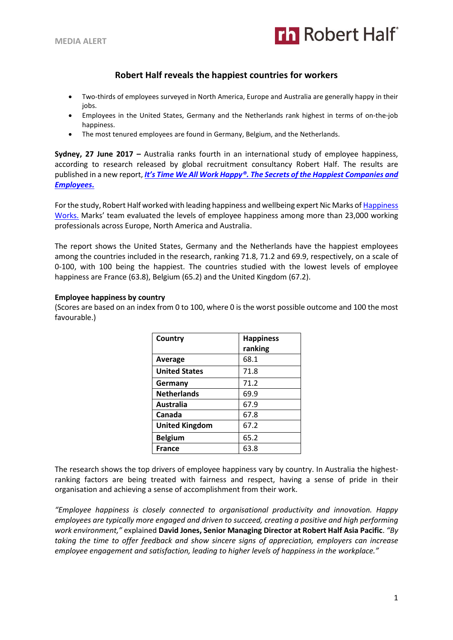

# **Robert Half reveals the happiest countries for workers**

- Two-thirds of employees surveyed in North America, Europe and Australia are generally happy in their jobs.
- Employees in the United States, Germany and the Netherlands rank highest in terms of on-the-job happiness.
- The most tenured employees are found in Germany, Belgium, and the Netherlands.

**Sydney, 27 June 2017 –** Australia ranks fourth in an international study of employee happiness, according to research released by global recruitment consultancy Robert Half. The results are published in a new report, *It's Time We All Work Happy®. [The Secrets of the Happiest Companies and](https://www.roberthalf.com.au/its-time-we-all-work-happy?utm_source=roberthalf&utm_medium=pressrelease&utm_campaign=rh-all-workhappy2017-ongoing)  [Employees](https://www.roberthalf.com.au/its-time-we-all-work-happy?utm_source=roberthalf&utm_medium=pressrelease&utm_campaign=rh-all-workhappy2017-ongoing)***.**

For the study, Robert Half worked with leading happiness and wellbeing expert Nic Marks of Happiness [Works.](https://happinessworks.com/) Marks' team evaluated the levels of employee happiness among more than 23,000 working professionals across Europe, North America and Australia.

The report shows the United States, Germany and the Netherlands have the happiest employees among the countries included in the research, ranking 71.8, 71.2 and 69.9, respectively, on a scale of 0-100, with 100 being the happiest. The countries studied with the lowest levels of employee happiness are France (63.8), Belgium (65.2) and the United Kingdom (67.2).

## **Employee happiness by country**

(Scores are based on an index from 0 to 100, where 0 is the worst possible outcome and 100 the most favourable.)

| Country               | <b>Happiness</b><br>ranking |
|-----------------------|-----------------------------|
| Average               | 68.1                        |
| <b>United States</b>  | 71.8                        |
| Germany               | 71.2                        |
| <b>Netherlands</b>    | 69.9                        |
| <b>Australia</b>      | 67.9                        |
| Canada                | 67.8                        |
| <b>United Kingdom</b> | 67.2                        |
| <b>Belgium</b>        | 65.2                        |
| <b>France</b>         | 63.8                        |

The research shows the top drivers of employee happiness vary by country. In Australia the highestranking factors are being treated with fairness and respect, having a sense of pride in their organisation and achieving a sense of accomplishment from their work.

*"Employee happiness is closely connected to organisational productivity and innovation. Happy employees are typically more engaged and driven to succeed, creating a positive and high performing work environment,"* explained **David Jones, Senior Managing Director at Robert Half Asia Pacific**. *"By taking the time to offer feedback and show sincere signs of appreciation, employers can increase employee engagement and satisfaction, leading to higher levels of happiness in the workplace."*